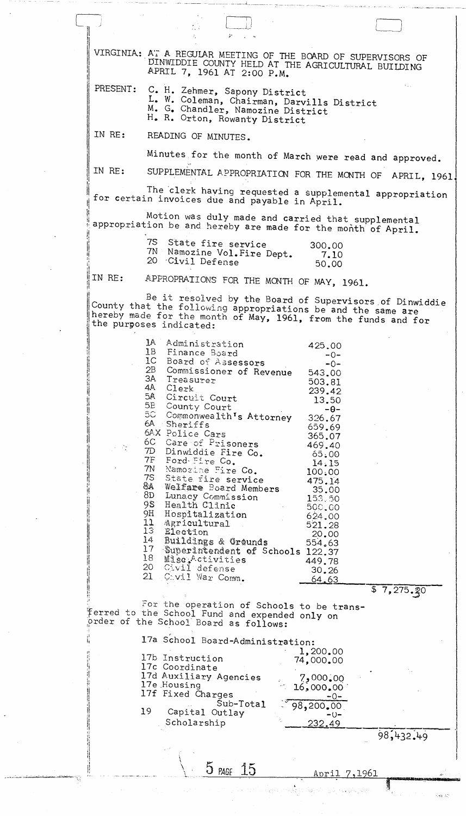VIRGINIA: AT A REGULAR MEETING OF THE BOARD OF SUPERVISORS OF DINWIDDIE COUNTY HELD AT THE AGRICULTURAL BUILDING APRIL 7, 1961 AT 2:00 P.M. C. H. Zehmer, Sapony District<br>L. W. Coleman, Chairman, Darvills District PRESENT: M. G. Chandler, Namozine District H. R. Orton, Rowanty District IN RE: READING OF MINUTES. Minutes for the month of March were read and approved. IN RE: SUPPLEMENTAL APPROPRIATION FOR THE MONTH OF APRIL, 1961. The clerk having requested a supplemental appropriation for certain invoices due and payable in April. Motion was duly made and carried that supplemental appropriation be and hereby are made for the month of April. 75 State fire service 300.00 7N Namozine Vol. Fire Dept. 7.10 20 Civil Defense 50,00 APPROPRAIIONS FOR THE MONTH OF MAY, 1961. IN RE: Be it resolved by the Board of Supervisors of Dinwiddie County that the following appropriations be and the same are hereby made for the month of May, 1961, from the funds and for the purposes indicated: 1A Administration 425.00 Finance Board<br>Board of Assessors  $1B$  $-0 1C$  $-0-$ Commissioner of Revenue 2B 543.00 ЗА Treasurer 503.81 4A Clerk 239.42 5.A Circuit Court 13.50  $5<sub>E</sub>$ County Court  $-\theta$ -Commonwealth's Attorney  $5C$ 326.67  $6A -$ Sheriffs 659.69 6AX Police Cars<br>6C Care of Prisoners 365.07 469.40 Dinwiddie Fire Co. 7D 65.00 7F Ford Fire Co. 14.15 7N Namorine Fire Co.  $100,00$ 75 State fire service 475.14 Welfare Board Members<br>Lunacy Commission 84 35.00 8D  $153, 50$ Health Clinic 95. 500,00 9H Hospitalization 624.00 11 Agricultural 521.28 13 Election 20.00 14 Buildings & Grounds 554.63 Superintendent of Schools 122.37  $17$ Mise Activities<br>Civil defense 18 449.78  $20<sub>1</sub>$  $30.26$ 21 Cavil War Comm. <u>64.63</u>  $\overline{57,275.30}$ For the operation of Schools to be transferred to the School Fund and expended only on prder of the School Board as follows: 17a School Board-Administration: 1,200.00 17b Instruction 74,000.00 17c Coordinate 17d Auxiliary Agencies 7,000.00 17e Housing  $16,000,00$ 17f Fixed Charges  $-0-$ Sub-Total 98, 200.00 19 Capital Outlay - () – Scholarship <u>232.49</u> 98,432.49 5 PAGE 15 April 7,1961

网络 动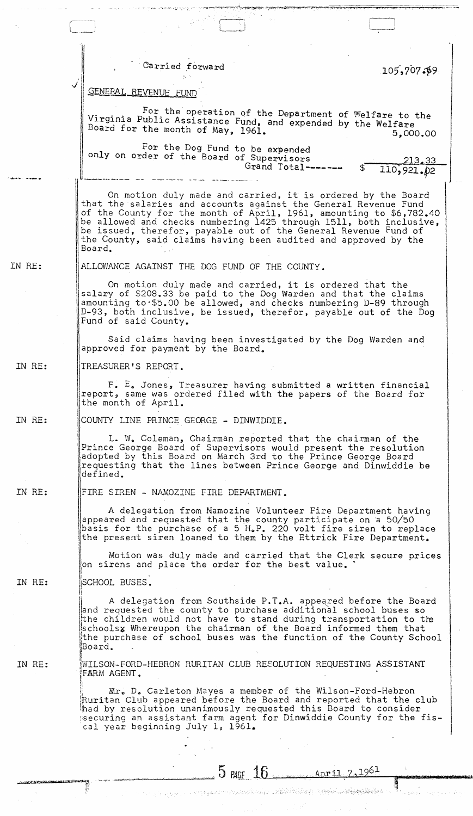|        | Carried forward                                                                                                                                                                                                                                                                                                                                                                                                             | 105,707.99           |
|--------|-----------------------------------------------------------------------------------------------------------------------------------------------------------------------------------------------------------------------------------------------------------------------------------------------------------------------------------------------------------------------------------------------------------------------------|----------------------|
|        | GENERAL REVENUE FUND                                                                                                                                                                                                                                                                                                                                                                                                        |                      |
|        | For the operation of the Department of Welfare to the<br>Virginia Public Assistance Fund, and expended by the Welfare<br>Board for the month of May, 1961.                                                                                                                                                                                                                                                                  | 5,000,00             |
|        | For the Dog Fund to be expended<br>only on order of the Board of Supervisors<br>Grand Total-------                                                                                                                                                                                                                                                                                                                          | 213,33<br>110,921.02 |
|        | On motion duly made and carried, it is ordered by the Board<br>that the salaries and accounts against the General Revenue Fund<br>of the County for the month of April, 1961, amounting to \$6,782.40<br>be allowed and checks numbering 1425 through 1511, both inclusive,<br>be issued, therefor, payable out of the General Revenue Fund of<br>the County, said claims having been audited and approved by the<br>Board. |                      |
| IN RE: | ALLOWANCE AGAINST THE DOG FUND OF THE COUNTY.                                                                                                                                                                                                                                                                                                                                                                               |                      |
|        | On motion duly made and carried, it is ordered that the<br>salary of \$208.33 be paid to the Dog Warden and that the claims<br>amounting to \$5.00 be allowed, and checks numbering D-89 through<br>D-93, both inclusive, be issued, therefor, payable out of the Dog<br>Fund of said County.                                                                                                                               |                      |
|        | Said claims having been investigated by the Dog Warden and<br>approved for payment by the Board.                                                                                                                                                                                                                                                                                                                            |                      |
| IN RE: | TREASURER'S REPORT.                                                                                                                                                                                                                                                                                                                                                                                                         |                      |
|        | F. E. Jones, Treasurer having submitted a written financial<br>report, same was ordered filed with the papers of the Board for<br>the month of April.                                                                                                                                                                                                                                                                       |                      |
| IN RE: | COUNTY LINE PRINCE GEORGE - DINWIDDIE.                                                                                                                                                                                                                                                                                                                                                                                      |                      |
|        | L. W. Coleman, Chairman reported that the chairman of the<br>Prince George Board of Supervisors would present the resolution<br>adopted by this Board on March 3rd to the Prince George Board<br>requesting that the lines between Prince George and Dinwiddie be<br>defined.                                                                                                                                               |                      |
| IN RE: | FIRE SIREN - NAMOZINE FIRE DEPARTMENT.                                                                                                                                                                                                                                                                                                                                                                                      |                      |
|        | A delegation from Namozine Volunteer Fire Department having<br>appeared and requested that the county participate on a 50/50<br>basis for the purchase of a 5 H.P. 220 volt fire siren to replace<br>the present siren loaned to them by the Ettrick Fire Department.                                                                                                                                                       |                      |
|        | Motion was duly made and carried that the Clerk secure prices<br>on sirens and place the order for the best value. `                                                                                                                                                                                                                                                                                                        |                      |
| IN RE: | SCHOOL BUSES.                                                                                                                                                                                                                                                                                                                                                                                                               |                      |
|        | A delegation from Southside P.T.A. appeared before the Board<br>and requested the county to purchase additional school buses so<br>the children would not have to stand during transportation to the<br>schoolsx Whereupon the chairman of the Board informed them that<br>the purchase of school buses was the function of the County School.<br>Board.                                                                    |                      |
| IN RE: | WILSON-FORD-HEBRON RURITAN CLUB RESOLUTION REQUESTING ASSISTANT<br>FARM AGENT.                                                                                                                                                                                                                                                                                                                                              |                      |
|        | Mr. D. Carleton Mayes a member of the Wilson-Ford-Hebron<br>Ruritan Club appeared before the Board and reported that the club<br>had by resolution unanimously requested this Board to consider<br>securing an assistant farm agent for Dinwiddie County for the fis-<br>cal year beginning July 1, 1961.                                                                                                                   |                      |
|        |                                                                                                                                                                                                                                                                                                                                                                                                                             |                      |
|        | $15$ PAGF $16$ April 7, 1961                                                                                                                                                                                                                                                                                                                                                                                                |                      |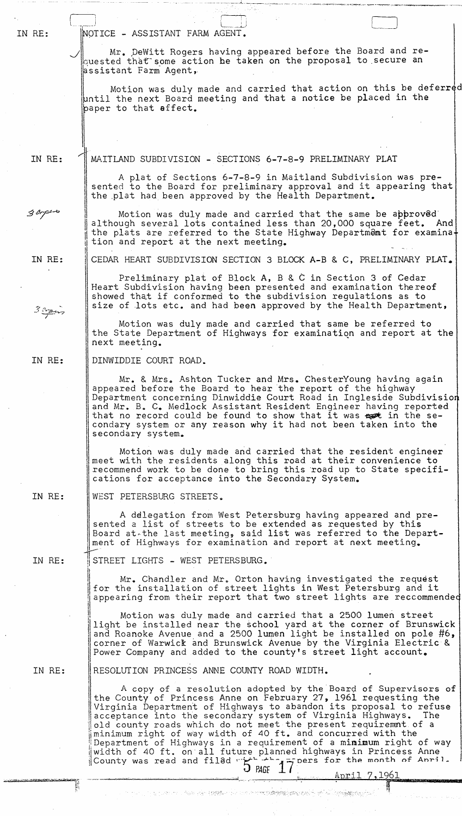| IN RE:      | NOTICE - ASSISTANT FARM AGENT.                                                                                                                                                                                                                                                                                                                                                                                                                                                                                                                                                                                                             |
|-------------|--------------------------------------------------------------------------------------------------------------------------------------------------------------------------------------------------------------------------------------------------------------------------------------------------------------------------------------------------------------------------------------------------------------------------------------------------------------------------------------------------------------------------------------------------------------------------------------------------------------------------------------------|
|             | Mr. DeWitt Rogers having appeared before the Board and re-<br>quested that some action be taken on the proposal to secure an<br>assistant Farm Agent,                                                                                                                                                                                                                                                                                                                                                                                                                                                                                      |
|             | Motion was duly made and carried that action on this be deferred<br>until the next Board meeting and that a notice be placed in the<br>paper to that effect.                                                                                                                                                                                                                                                                                                                                                                                                                                                                               |
|             |                                                                                                                                                                                                                                                                                                                                                                                                                                                                                                                                                                                                                                            |
| IN RE:      | MAITLAND SUBDIVISION - SECTIONS 6-7-8-9 PRELIMINARY PLAT                                                                                                                                                                                                                                                                                                                                                                                                                                                                                                                                                                                   |
|             | A plat of Sections 6-7-8-9 in Maitland Subdivision was pre-<br>sented to the Board for preliminary approval and it appearing that<br>the plat had been approved by the Health Department.                                                                                                                                                                                                                                                                                                                                                                                                                                                  |
| $3$ loperty | Motion was duly made and carried that the same be approved<br>although several lots contained less than 20,000 square feet. And<br>the plats are referred to the State Highway Department for examina+<br>tion and report at the next meeting.                                                                                                                                                                                                                                                                                                                                                                                             |
| IN RE:      | CEDAR HEART SUBDIVISION SECTION 3 BLOCK A-B & C, PRELIMINARY PLAT.                                                                                                                                                                                                                                                                                                                                                                                                                                                                                                                                                                         |
|             | Preliminary plat of Block A, B & C in Section 3 of Cedar<br>Heart Subdivision having been presented and examination thereof<br>showed that if conformed to the subdivision regulations as to<br>size of lots etc. and had been approved by the Health Department,                                                                                                                                                                                                                                                                                                                                                                          |
| 3220        | Motion was duly made and carried that same be referred to<br>the State Department of Highways for examination and report at the<br>next meeting.                                                                                                                                                                                                                                                                                                                                                                                                                                                                                           |
| IN RE:      | DINWIDDIE COURT ROAD.                                                                                                                                                                                                                                                                                                                                                                                                                                                                                                                                                                                                                      |
|             | Mr. & Mrs. Ashton Tucker and Mrs. ChesterYoung having again<br>appeared before the Board to hear the report of the highway<br>Department concerning Dinwiddie Court Road in Ingleside Subdivision<br>and Mr. B. C. Medlock Assistant Resident Engineer having reported<br>that no record could be found to show that it was est in the se-<br>condary system or any reason why it had not been taken into the<br>secondary system.                                                                                                                                                                                                         |
|             | Motion was duly made and carried that the resident engineer<br>meet with the residents along this road at their convenience to<br>recommend work to be done to bring this road up to State specifi-<br>cations for acceptance into the Secondary System.                                                                                                                                                                                                                                                                                                                                                                                   |
| IN RE:      | WEST PETERSBURG STREETS.                                                                                                                                                                                                                                                                                                                                                                                                                                                                                                                                                                                                                   |
|             | A delegation from West Petersburg having appeared and pre-<br>sented a list of streets to be extended as requested by this<br>Board at the last meeting, said list was referred to the Depart-<br>ment of Highways for examination and report at next meeting.                                                                                                                                                                                                                                                                                                                                                                             |
| IN RE:      | STREET LIGHTS - WEST PETERSBURG.                                                                                                                                                                                                                                                                                                                                                                                                                                                                                                                                                                                                           |
|             | Mr. Chandler and Mr. Orton having investigated the request<br>for the installation of street lights in West Petersburg and it<br>appearing from their report that two street lights are reccommended                                                                                                                                                                                                                                                                                                                                                                                                                                       |
|             | Motion was duly made and carried that a 2500 lumen street<br>light be installed near the school yard at the corner of Brunswick<br>and Roanoke Avenue and a 2500 lumen light be installed on pole #6,<br>corner of Warwick and Brunswick Avenue by the Virginia Electric &<br>Power Company and added to the county's street light account.                                                                                                                                                                                                                                                                                                |
| IN RE:      | RESOLUTION PRINCESS ANNE COUNTY ROAD WIDTH.                                                                                                                                                                                                                                                                                                                                                                                                                                                                                                                                                                                                |
|             | A copy of a resolution adopted by the Board of Supervisors of<br>the County of Princess Anne on February 27, 1961 requesting the<br>Virginia Department of Highways to abandon its proposal to refuse<br>acceptance into the secondary system of Virginia Highways. The<br>old county roads which do not meet the present requirement of a<br>minimum right of way width of 40 ft. and concurred with the<br>Department of Highways in a requirement of a minimum right of way<br>width of 40 ft. on all future planned highways in Princess Anne<br>County was read and filed "international part for the month of Anril.<br>$J$ page $1$ |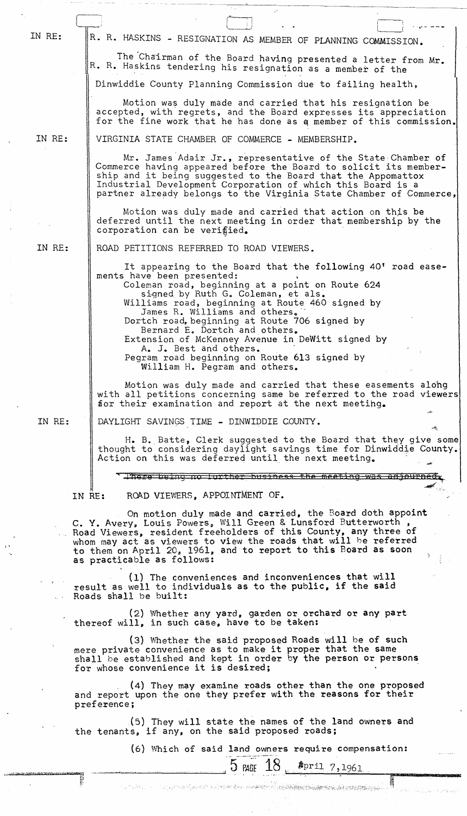| IN RE:                                                                                                                                                                                                                                                                                                                                                         |                                                                                                                                                                                                                               | R. R. HASKINS - RESIGNATION AS MEMBER OF PLANNING COMMISSION.                                                                                                                                                                                                                                                                                                                                                                                                                                                           |  |         |  |  |
|----------------------------------------------------------------------------------------------------------------------------------------------------------------------------------------------------------------------------------------------------------------------------------------------------------------------------------------------------------------|-------------------------------------------------------------------------------------------------------------------------------------------------------------------------------------------------------------------------------|-------------------------------------------------------------------------------------------------------------------------------------------------------------------------------------------------------------------------------------------------------------------------------------------------------------------------------------------------------------------------------------------------------------------------------------------------------------------------------------------------------------------------|--|---------|--|--|
|                                                                                                                                                                                                                                                                                                                                                                |                                                                                                                                                                                                                               | The Chairman of the Board having presented a letter from Mr.<br>R. R. Haskins tendering his resignation as a member of the                                                                                                                                                                                                                                                                                                                                                                                              |  |         |  |  |
|                                                                                                                                                                                                                                                                                                                                                                |                                                                                                                                                                                                                               | Dinwiddie County Planning Commission due to failing health,                                                                                                                                                                                                                                                                                                                                                                                                                                                             |  |         |  |  |
|                                                                                                                                                                                                                                                                                                                                                                |                                                                                                                                                                                                                               | Motion was duly made and carried that his resignation be<br>accepted, with regrets, and the Board expresses its appreciation<br>for the fine work that he has done as a member of this commission.                                                                                                                                                                                                                                                                                                                      |  |         |  |  |
| IN RE:                                                                                                                                                                                                                                                                                                                                                         |                                                                                                                                                                                                                               | VIRGINIA STATE CHAMBER OF COMMERCE - MEMBERSHIP.                                                                                                                                                                                                                                                                                                                                                                                                                                                                        |  |         |  |  |
|                                                                                                                                                                                                                                                                                                                                                                |                                                                                                                                                                                                                               | Mr. James Adair Jr., representative of the State Chamber of<br>Commerce having appeared before the Board to solicit its member-<br>ship and it being suggested to the Board that the Appomattox<br>Industrial Development Corporation of which this Board is a<br>partner already belongs to the Virginia State Chamber of Commerce,                                                                                                                                                                                    |  |         |  |  |
|                                                                                                                                                                                                                                                                                                                                                                |                                                                                                                                                                                                                               | Motion was duly made and carried that action on this be<br>deferred until the next meeting in order that membership by the<br>corporation can be verified.                                                                                                                                                                                                                                                                                                                                                              |  |         |  |  |
| IN RE:                                                                                                                                                                                                                                                                                                                                                         |                                                                                                                                                                                                                               | ROAD PETITIONS REFERRED TO ROAD VIEWERS.                                                                                                                                                                                                                                                                                                                                                                                                                                                                                |  |         |  |  |
|                                                                                                                                                                                                                                                                                                                                                                |                                                                                                                                                                                                                               | It appearing to the Board that the following 40' road ease-<br>ments have been presented:<br>Coleman road, beginning at a point on Route 624<br>signed by Ruth G. Coleman, et als.<br>Williams road, beginning at Route 460 signed by<br>James R. Williams and others.<br>Dortch road, beginning at Route 706 signed by<br>Bernard E. Dortch and others.<br>Extension of McKenney Avenue in DeWitt signed by<br>A. J. Best and others.<br>Pegram road beginning on Route 613 signed by<br>William H. Pegram and others. |  |         |  |  |
|                                                                                                                                                                                                                                                                                                                                                                |                                                                                                                                                                                                                               | Motion was duly made and carried that these easements along<br>with all petitions concerning same be referred to the road viewers<br>for their examination and report at the next meeting.                                                                                                                                                                                                                                                                                                                              |  |         |  |  |
| IN RE:                                                                                                                                                                                                                                                                                                                                                         |                                                                                                                                                                                                                               | DAYLIGHT SAVINGS TIME - DINWIDDIE COUNTY.                                                                                                                                                                                                                                                                                                                                                                                                                                                                               |  | المجانب |  |  |
|                                                                                                                                                                                                                                                                                                                                                                |                                                                                                                                                                                                                               | H. B. Batte, Clerk suggested to the Board that they give some<br>thought to considering daylight savings time for Dinwiddie County.<br>Action on this was deferred until the next meeting.                                                                                                                                                                                                                                                                                                                              |  |         |  |  |
|                                                                                                                                                                                                                                                                                                                                                                |                                                                                                                                                                                                                               | There being no further business the meeting was adjourne                                                                                                                                                                                                                                                                                                                                                                                                                                                                |  |         |  |  |
|                                                                                                                                                                                                                                                                                                                                                                | IN RE:                                                                                                                                                                                                                        | ROAD VIEWERS, APPOINTMENT OF.                                                                                                                                                                                                                                                                                                                                                                                                                                                                                           |  |         |  |  |
| On motion duly made and carried, the Board doth appoint<br>C. Y. Avery, Louis Powers, Will Green & Lunsford Butterworth,<br>Road Viewers, resident freeholders of this County, any three of<br>whom may act as viewers to view the roads that will be referred<br>to them on April 20, 1961, and to report to this Board as soon<br>as practicable as follows: |                                                                                                                                                                                                                               |                                                                                                                                                                                                                                                                                                                                                                                                                                                                                                                         |  |         |  |  |
|                                                                                                                                                                                                                                                                                                                                                                | (1) The conveniences and inconveniences that will<br>result as well to individuals as to the public, if the said<br>Roads shall be built:                                                                                     |                                                                                                                                                                                                                                                                                                                                                                                                                                                                                                                         |  |         |  |  |
|                                                                                                                                                                                                                                                                                                                                                                |                                                                                                                                                                                                                               | (2) Whether any yard, garden or orchard or any part<br>thereof will, in such case, have to be taken:                                                                                                                                                                                                                                                                                                                                                                                                                    |  |         |  |  |
|                                                                                                                                                                                                                                                                                                                                                                | (3) Whether the said proposed Roads will be of such<br>mere private convenience as to make it proper that the same<br>shall be established and kept in order by the person or persons<br>for whose convenience it is desired; |                                                                                                                                                                                                                                                                                                                                                                                                                                                                                                                         |  |         |  |  |
|                                                                                                                                                                                                                                                                                                                                                                | preference;                                                                                                                                                                                                                   | (4) They may examine roads other than the one proposed<br>and report upon the one they prefer with the reasons for their                                                                                                                                                                                                                                                                                                                                                                                                |  |         |  |  |
|                                                                                                                                                                                                                                                                                                                                                                |                                                                                                                                                                                                                               | (5) They will state the names of the land owners and<br>the tenants, if any, on the said proposed roads;                                                                                                                                                                                                                                                                                                                                                                                                                |  |         |  |  |

I' "

 $\overline{a}$ 

÷

(6) Which of said land owners require compensation:

 $5$  PAGE  $18$   $_{\text{per1}7,1961}$ 

~.~ ., ," ",' ....... -,:-::.:. <sup>&</sup>lt;';1